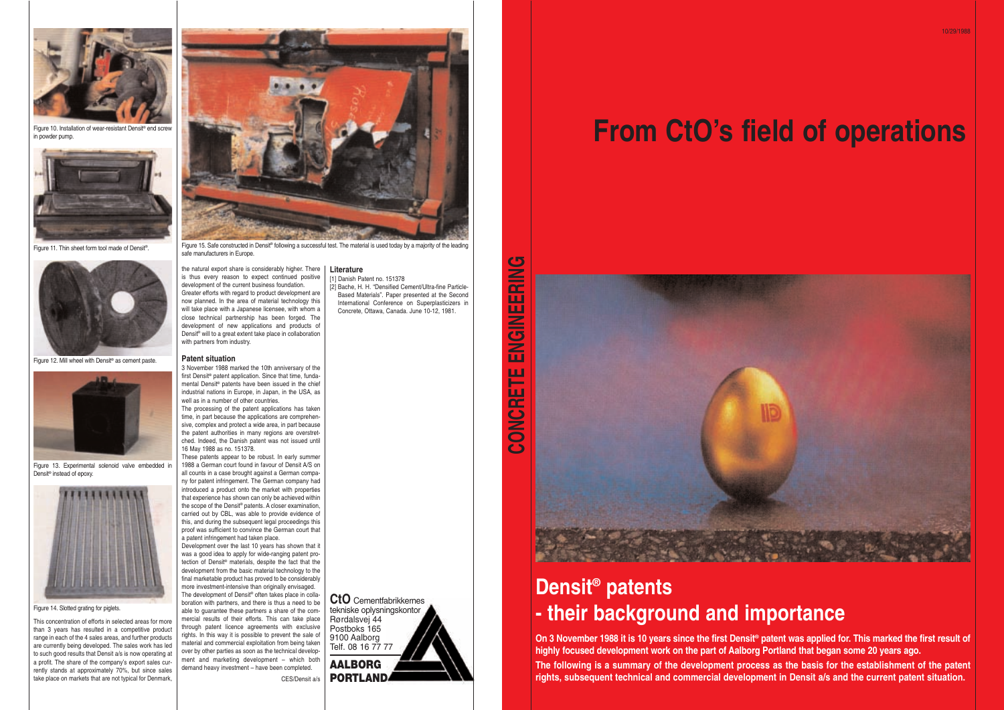This concentration of efforts in selected areas for more than 3 years has resulted in a competitive product range in each of the 4 sales areas, and further products are currently being developed. The sales work has led to such good results that Densit a/s is now operating at a profit. The share of the company's export sales currently stands at approximately 70%, but since sales take place on markets that are not typical for Denmark,

the natural export share is considerably higher. There is thus every reason to expect continued positive development of the current business foundation. Greater efforts with regard to product development are

now planned. In the area of material technology this will take place with a Japanese licensee, with whom a close technical partnership has been forged. The development of new applications and products of Densit® will to a great extent take place in collaboration with partners from industry.

#### **Patent situation**

3 November 1988 marked the 10th anniversary of the first Densit<sup>®</sup> patent application. Since that time, fundamental Densit® patents have been issued in the chief industrial nations in Europe, in Japan, in the USA, as well as in a number of other countries. The processing of the patent applications has taken

time, in part because the applications are comprehensive, complex and protect a wide area, in part because the patent authorities in many regions are overstretched. Indeed, the Danish patent was not issued until 16 May 1988 as no. 151378.

These patents appear to be robust. In early summer 1988 a German court found in favour of Densit A/S on all counts in a case brought against a German company for patent infringement. The German company had introduced a product onto the market with properties that experience has shown can only be achieved within the scope of the Densit® patents. A closer examination, carried out by CBL, was able to provide evidence of this, and during the subsequent legal proceedings this proof was sufficient to convince the German court that a patent infringement had taken place.



Figure 15. Safe constructed in Densit® following a successful test. The material is used today by a majority of the leading safe manufacturers in Europe.

Development over the last 10 years has shown that it was a good idea to apply for wide-ranging patent protection of Densit® materials, despite the fact that the development from the basic material technology to the final marketable product has proved to be considerably more investment-intensive than originally envisaged. The development of Densit<sup>®</sup> often takes place in collaboration with partners, and there is thus a need to be able to guarantee these partners a share of the commercial results of their efforts. This can take place through patent licence agreements with exclusive rights. In this way it is possible to prevent the sale of material and commercial exploitation from being taken over by other parties as soon as the technical development and marketing development – which both demand heavy investment – have been completed.

CES/Densit a/s

**Literature**

[1] Danish Patent no. 151378

[2] Bache, H. H. "Densified Cement/Ultra-fine Particle-Based Materials". Paper presented at the Second International Conference on Superplasticizers in Concrete, Ottawa, Canada. June 10-12, 1981.



Figure 10. Installation of wear-resistant Densit® end screw in powder pump.



Figure 11. Thin sheet form tool made of Densit® .



Figure 12. Mill wheel with Densit® as cement paste.



Figure 13. Experimental solenoid valve embedded in Densit® instead of epoxy.



Figure 14. Slotted grating for piglets.

## **Densit® patents - their background and importance**

**On 3 November 1988 it is 10 years since the first Densit® patent was applied for. This marked the first result of highly focused development work on the part of Aalborg Portland that began some 20 years ago. The following is a summary of the development process as the basis for the establishment of the patent rights, subsequent technical and commercial development in Densit a/s and the current patent situation.**

# **From CtO's field of operations**







Telf. 08 16 77 77 **AALBORG PORTLAND**